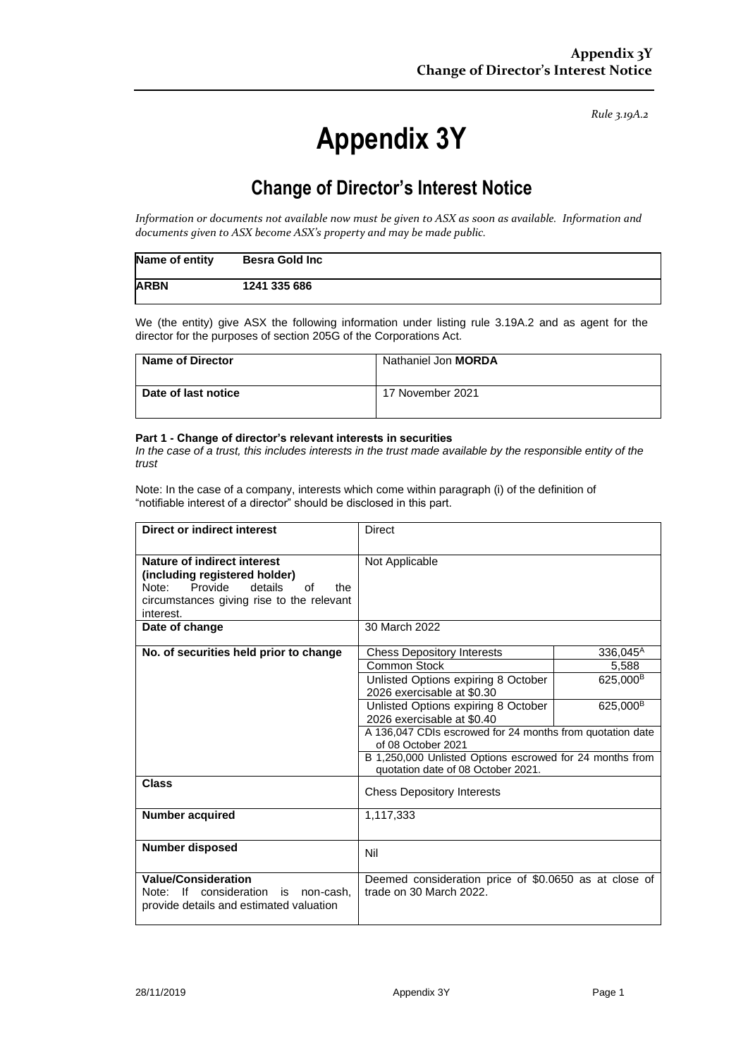*Rule 3.19A.2*

# **Appendix 3Y**

## **Change of Director's Interest Notice**

*Information or documents not available now must be given to ASX as soon as available. Information and documents given to ASX become ASX's property and may be made public.*

| Name of entity | <b>Besra Gold Inc</b> |
|----------------|-----------------------|
| <b>ARBN</b>    | 1241 335 686          |

We (the entity) give ASX the following information under listing rule 3.19A.2 and as agent for the director for the purposes of section 205G of the Corporations Act.

| <b>Name of Director</b> | Nathaniel Jon MORDA |
|-------------------------|---------------------|
| Date of last notice     | 17 November 2021    |

#### **Part 1 - Change of director's relevant interests in securities**

*In the case of a trust, this includes interests in the trust made available by the responsible entity of the trust*

Note: In the case of a company, interests which come within paragraph (i) of the definition of "notifiable interest of a director" should be disclosed in this part.

| Direct or indirect interest                                                                                                                                        | Direct                                                                                         |                      |
|--------------------------------------------------------------------------------------------------------------------------------------------------------------------|------------------------------------------------------------------------------------------------|----------------------|
| Nature of indirect interest<br>(including registered holder)<br>Provide<br>details<br>Note:<br>οf<br>the<br>circumstances giving rise to the relevant<br>interest. | Not Applicable                                                                                 |                      |
| Date of change                                                                                                                                                     | 30 March 2022                                                                                  |                      |
| No. of securities held prior to change                                                                                                                             | <b>Chess Depository Interests</b>                                                              | 336,045 <sup>A</sup> |
|                                                                                                                                                                    | Common Stock                                                                                   | 5,588                |
|                                                                                                                                                                    | Unlisted Options expiring 8 October<br>2026 exercisable at \$0.30                              | 625,000 <sup>B</sup> |
|                                                                                                                                                                    | Unlisted Options expiring 8 October<br>2026 exercisable at \$0.40                              | 625,000 <sup>B</sup> |
|                                                                                                                                                                    | A 136,047 CDIs escrowed for 24 months from quotation date<br>of 08 October 2021                |                      |
|                                                                                                                                                                    | B 1,250,000 Unlisted Options escrowed for 24 months from<br>quotation date of 08 October 2021. |                      |
| <b>Class</b>                                                                                                                                                       | <b>Chess Depository Interests</b>                                                              |                      |
| <b>Number acquired</b>                                                                                                                                             | 1,117,333                                                                                      |                      |
| Number disposed                                                                                                                                                    | Nil                                                                                            |                      |
| <b>Value/Consideration</b><br>Note: If<br>consideration<br>is<br>non-cash.<br>provide details and estimated valuation                                              | Deemed consideration price of \$0.0650 as at close of<br>trade on 30 March 2022.               |                      |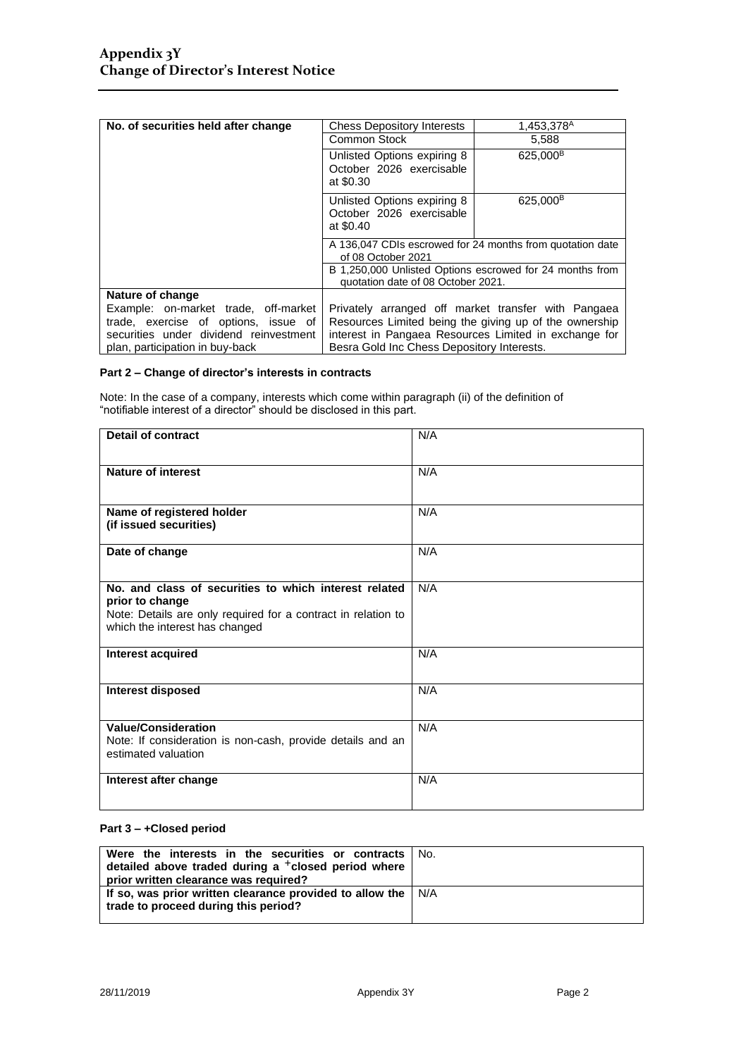| No. of securities held after change    | 1,453,378 <sup>A</sup><br><b>Chess Depository Interests</b>          |                                                           |
|----------------------------------------|----------------------------------------------------------------------|-----------------------------------------------------------|
|                                        | Common Stock<br>5.588                                                |                                                           |
|                                        | Unlisted Options expiring 8<br>October 2026 exercisable<br>at \$0.30 | 625,000 <sup>B</sup>                                      |
|                                        | Unlisted Options expiring 8<br>October 2026 exercisable<br>at \$0.40 | 625.000 <sup>B</sup>                                      |
|                                        | of 08 October 2021                                                   | A 136,047 CDIs escrowed for 24 months from quotation date |
|                                        | quotation date of 08 October 2021.                                   | B 1,250,000 Unlisted Options escrowed for 24 months from  |
| Nature of change                       |                                                                      |                                                           |
| Example: on-market trade, off-market   | Privately arranged off market transfer with Pangaea                  |                                                           |
| trade, exercise of options, issue of   | Resources Limited being the giving up of the ownership               |                                                           |
| securities under dividend reinvestment | interest in Pangaea Resources Limited in exchange for                |                                                           |
| plan, participation in buy-back        | Besra Gold Inc Chess Depository Interests.                           |                                                           |

#### **Part 2 – Change of director's interests in contracts**

Note: In the case of a company, interests which come within paragraph (ii) of the definition of "notifiable interest of a director" should be disclosed in this part.

| <b>Detail of contract</b>                                                                                                                                                   | N/A |
|-----------------------------------------------------------------------------------------------------------------------------------------------------------------------------|-----|
| <b>Nature of interest</b>                                                                                                                                                   | N/A |
| Name of registered holder<br>(if issued securities)                                                                                                                         | N/A |
| Date of change                                                                                                                                                              | N/A |
| No. and class of securities to which interest related<br>prior to change<br>Note: Details are only required for a contract in relation to<br>which the interest has changed | N/A |
| <b>Interest acquired</b>                                                                                                                                                    | N/A |
| <b>Interest disposed</b>                                                                                                                                                    | N/A |
| <b>Value/Consideration</b><br>Note: If consideration is non-cash, provide details and an<br>estimated valuation                                                             | N/A |
| Interest after change                                                                                                                                                       | N/A |

### **Part 3 – +Closed period**

| Were the interests in the securities or contracts $\vert$ No.<br>detailed above traded during a $+$ closed period where<br>prior written clearance was required? |  |
|------------------------------------------------------------------------------------------------------------------------------------------------------------------|--|
| If so, was prior written clearance provided to allow the $\vert$ N/A<br>trade to proceed during this period?                                                     |  |